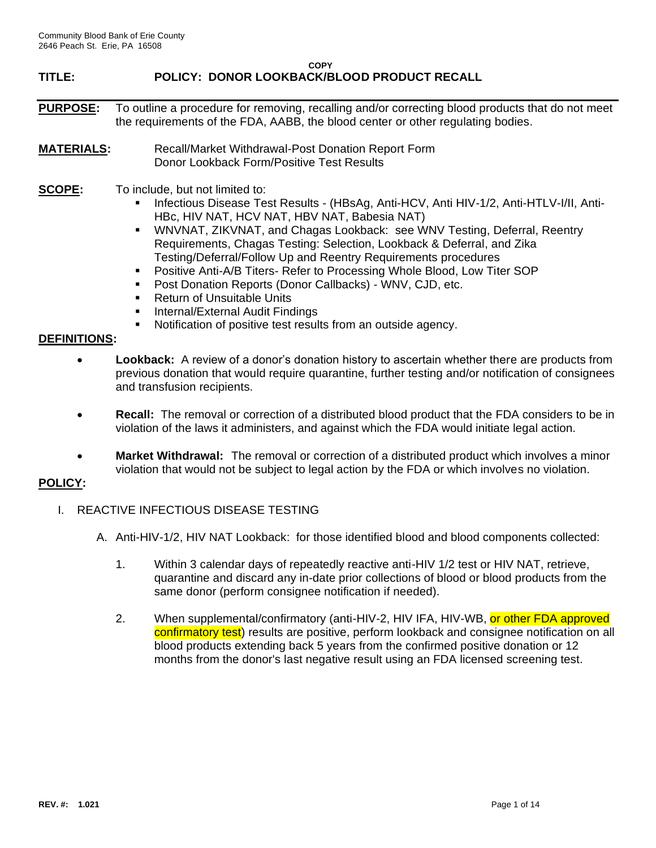# **TITLE: POLICY: DONOR LOOKBACK/BLOOD PRODUCT RECALL**

- **PURPOSE:** To outline a procedure for removing, recalling and/or correcting blood products that do not meet the requirements of the FDA, AABB, the blood center or other regulating bodies.
- **MATERIALS:** Recall/Market Withdrawal-Post Donation Report Form Donor Lookback Form/Positive Test Results
- **SCOPE:** To include, but not limited to:
	- Infectious Disease Test Results (HBsAg, Anti-HCV, Anti HIV-1/2, Anti-HTLV-I/II, Anti-HBc, HIV NAT, HCV NAT, HBV NAT, Babesia NAT)
	- **WNVNAT, ZIKVNAT, and Chagas Lookback: see WNV Testing, Deferral, Reentry** Requirements, Chagas Testing: Selection, Lookback & Deferral, and Zika Testing/Deferral/Follow Up and Reentry Requirements procedures
	- Positive Anti-A/B Titers- Refer to Processing Whole Blood, Low Titer SOP
	- Post Donation Reports (Donor Callbacks) WNV, CJD, etc.
	- Return of Unsuitable Units
	- **E** Internal/External Audit Findings
	- Notification of positive test results from an outside agency.

## **DEFINITIONS:**

- **Lookback:** A review of a donor's donation history to ascertain whether there are products from previous donation that would require quarantine, further testing and/or notification of consignees and transfusion recipients.
- **Recall:** The removal or correction of a distributed blood product that the FDA considers to be in violation of the laws it administers, and against which the FDA would initiate legal action.
- **Market Withdrawal:** The removal or correction of a distributed product which involves a minor violation that would not be subject to legal action by the FDA or which involves no violation.

## **POLICY:**

- I. REACTIVE INFECTIOUS DISEASE TESTING
	- A. Anti-HIV-1/2, HIV NAT Lookback: for those identified blood and blood components collected:
		- 1. Within 3 calendar days of repeatedly reactive anti-HIV 1/2 test or HIV NAT, retrieve, quarantine and discard any in-date prior collections of blood or blood products from the same donor (perform consignee notification if needed).
		- 2. When supplemental/confirmatory (anti-HIV-2, HIV IFA, HIV-WB, or other FDA approved confirmatory test) results are positive, perform lookback and consignee notification on all blood products extending back 5 years from the confirmed positive donation or 12 months from the donor's last negative result using an FDA licensed screening test.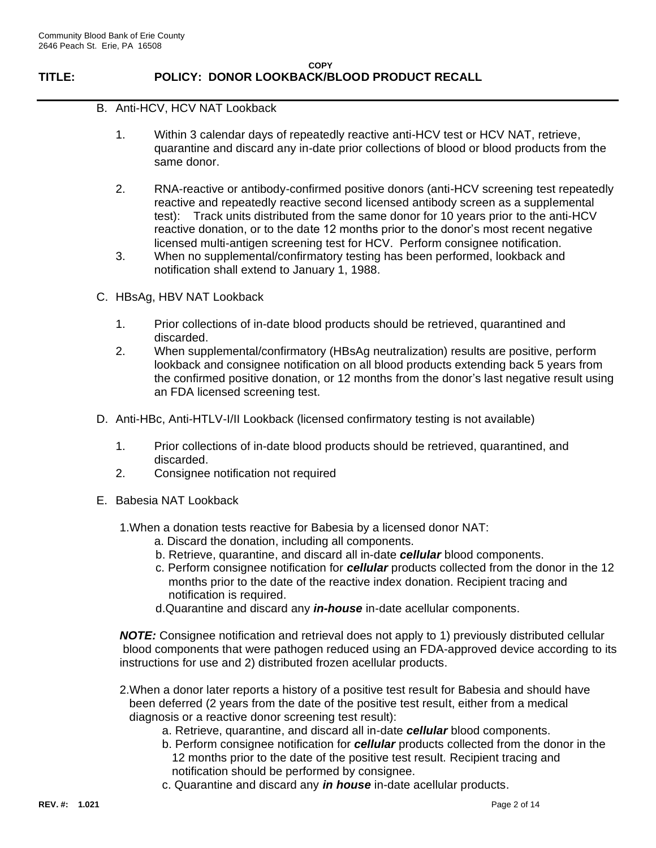# **TITLE: POLICY: DONOR LOOKBACK/BLOOD PRODUCT RECALL**

- B. Anti-HCV, HCV NAT Lookback
	- 1. Within 3 calendar days of repeatedly reactive anti-HCV test or HCV NAT, retrieve, quarantine and discard any in-date prior collections of blood or blood products from the same donor.
	- 2. RNA-reactive or antibody-confirmed positive donors (anti-HCV screening test repeatedly reactive and repeatedly reactive second licensed antibody screen as a supplemental test): Track units distributed from the same donor for 10 years prior to the anti-HCV reactive donation, or to the date 12 months prior to the donor's most recent negative licensed multi-antigen screening test for HCV. Perform consignee notification.
	- 3. When no supplemental/confirmatory testing has been performed, lookback and notification shall extend to January 1, 1988.
- C. HBsAg, HBV NAT Lookback
	- 1. Prior collections of in-date blood products should be retrieved, quarantined and discarded.
	- 2. When supplemental/confirmatory (HBsAg neutralization) results are positive, perform lookback and consignee notification on all blood products extending back 5 years from the confirmed positive donation, or 12 months from the donor's last negative result using an FDA licensed screening test.
- D. Anti-HBc, Anti-HTLV-I/II Lookback (licensed confirmatory testing is not available)
	- 1. Prior collections of in-date blood products should be retrieved, quarantined, and discarded.
	- 2. Consignee notification not required
- E. Babesia NAT Lookback
	- 1.When a donation tests reactive for Babesia by a licensed donor NAT:
		- a. Discard the donation, including all components.
		- b. Retrieve, quarantine, and discard all in-date *cellular* blood components.
		- c. Perform consignee notification for *cellular* products collected from the donor in the 12 months prior to the date of the reactive index donation. Recipient tracing and notification is required.
		- d.Quarantine and discard any *in-house* in-date acellular components.

*NOTE:* Consignee notification and retrieval does not apply to 1) previously distributed cellular blood components that were pathogen reduced using an FDA-approved device according to its instructions for use and 2) distributed frozen acellular products.

- 2.When a donor later reports a history of a positive test result for Babesia and should have been deferred (2 years from the date of the positive test result, either from a medical diagnosis or a reactive donor screening test result):
	- a. Retrieve, quarantine, and discard all in-date *cellular* blood components.
	- b. Perform consignee notification for *cellular* products collected from the donor in the 12 months prior to the date of the positive test result. Recipient tracing and notification should be performed by consignee.
	- c. Quarantine and discard any *in house* in-date acellular products.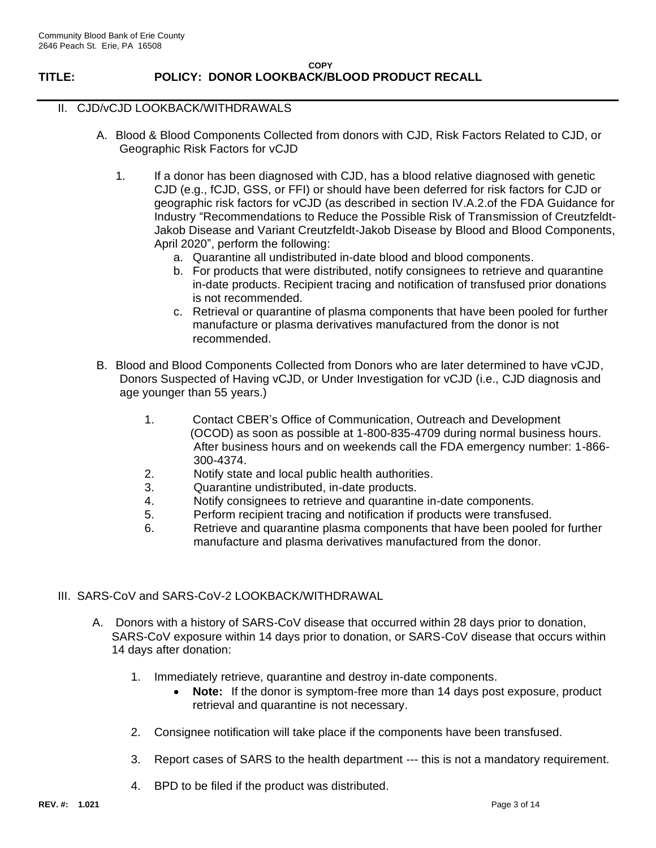## II. CJD/vCJD LOOKBACK/WITHDRAWALS

- A. Blood & Blood Components Collected from donors with CJD, Risk Factors Related to CJD, or Geographic Risk Factors for vCJD
	- 1. If a donor has been diagnosed with CJD, has a blood relative diagnosed with genetic CJD (e.g., fCJD, GSS, or FFI) or should have been deferred for risk factors for CJD or geographic risk factors for vCJD (as described in section IV.A.2.of the FDA Guidance for Industry "Recommendations to Reduce the Possible Risk of Transmission of Creutzfeldt-Jakob Disease and Variant Creutzfeldt-Jakob Disease by Blood and Blood Components, April 2020", perform the following:
		- a. Quarantine all undistributed in-date blood and blood components.
		- b. For products that were distributed, notify consignees to retrieve and quarantine in-date products. Recipient tracing and notification of transfused prior donations is not recommended.
		- c. Retrieval or quarantine of plasma components that have been pooled for further manufacture or plasma derivatives manufactured from the donor is not recommended.
- B. Blood and Blood Components Collected from Donors who are later determined to have vCJD, Donors Suspected of Having vCJD, or Under Investigation for vCJD (i.e., CJD diagnosis and age younger than 55 years.)
	- 1. Contact CBER's Office of Communication, Outreach and Development (OCOD) as soon as possible at 1-800-835-4709 during normal business hours. After business hours and on weekends call the FDA emergency number: 1-866- 300-4374.
	- 2. Notify state and local public health authorities.
	- 3. Quarantine undistributed, in-date products.
	- 4. Notify consignees to retrieve and quarantine in-date components.
	- 5. Perform recipient tracing and notification if products were transfused.
	- 6. Retrieve and quarantine plasma components that have been pooled for further manufacture and plasma derivatives manufactured from the donor.
- III. SARS-CoV and SARS-CoV-2 LOOKBACK/WITHDRAWAL
	- A. Donors with a history of SARS-CoV disease that occurred within 28 days prior to donation, SARS-CoV exposure within 14 days prior to donation, or SARS-CoV disease that occurs within 14 days after donation:
		- 1. Immediately retrieve, quarantine and destroy in-date components.
			- **Note:** If the donor is symptom-free more than 14 days post exposure, product retrieval and quarantine is not necessary.
		- 2. Consignee notification will take place if the components have been transfused.
		- 3. Report cases of SARS to the health department --- this is not a mandatory requirement.
		- 4. BPD to be filed if the product was distributed.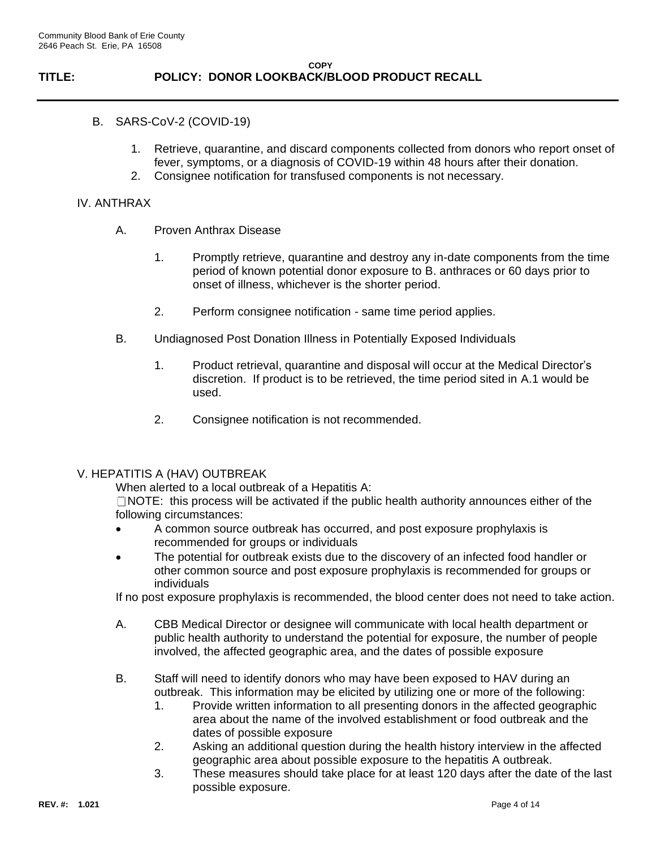- B. SARS-CoV-2 (COVID-19)
	- 1. Retrieve, quarantine, and discard components collected from donors who report onset of fever, symptoms, or a diagnosis of COVID-19 within 48 hours after their donation.
	- 2. Consignee notification for transfused components is not necessary.

## IV. ANTHRAX

- A. Proven Anthrax Disease
	- 1. Promptly retrieve, quarantine and destroy any in-date components from the time period of known potential donor exposure to B. anthraces or 60 days prior to onset of illness, whichever is the shorter period.
	- 2. Perform consignee notification same time period applies.
- B. Undiagnosed Post Donation Illness in Potentially Exposed Individuals
	- 1. Product retrieval, quarantine and disposal will occur at the Medical Director's discretion. If product is to be retrieved, the time period sited in A.1 would be used.
	- 2. Consignee notification is not recommended.

## V. HEPATITIS A (HAV) OUTBREAK

When alerted to a local outbreak of a Hepatitis A:

 $\Box$  NOTE: this process will be activated if the public health authority announces either of the following circumstances:

- A common source outbreak has occurred, and post exposure prophylaxis is recommended for groups or individuals
- The potential for outbreak exists due to the discovery of an infected food handler or other common source and post exposure prophylaxis is recommended for groups or individuals

If no post exposure prophylaxis is recommended, the blood center does not need to take action.

- A. CBB Medical Director or designee will communicate with local health department or public health authority to understand the potential for exposure, the number of people involved, the affected geographic area, and the dates of possible exposure
- B. Staff will need to identify donors who may have been exposed to HAV during an outbreak. This information may be elicited by utilizing one or more of the following:
	- 1. Provide written information to all presenting donors in the affected geographic area about the name of the involved establishment or food outbreak and the dates of possible exposure
	- 2. Asking an additional question during the health history interview in the affected geographic area about possible exposure to the hepatitis A outbreak.
	- 3. These measures should take place for at least 120 days after the date of the last possible exposure.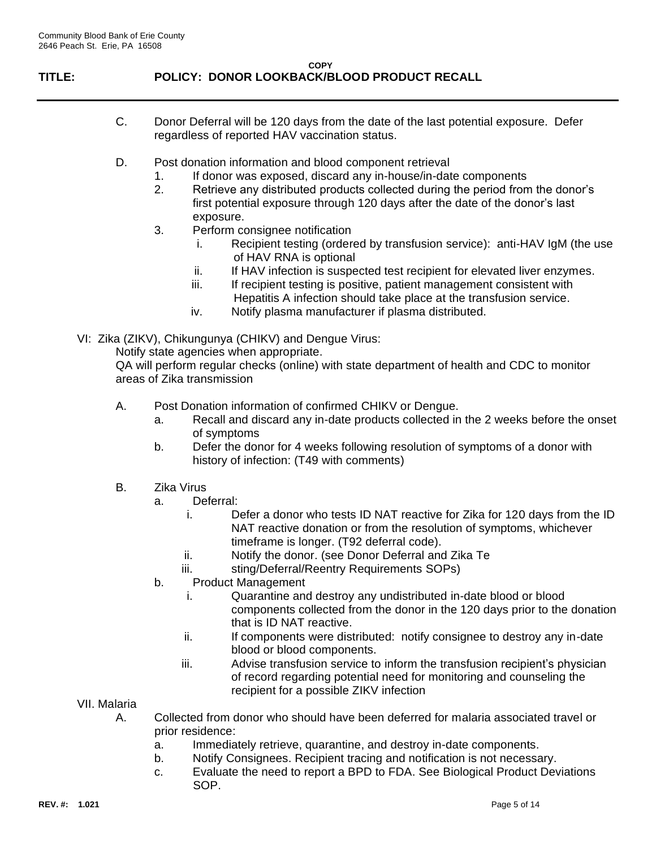# **TITLE: POLICY: DONOR LOOKBACK/BLOOD PRODUCT RECALL**

- C. Donor Deferral will be 120 days from the date of the last potential exposure. Defer regardless of reported HAV vaccination status.
- D. Post donation information and blood component retrieval
	- 1. If donor was exposed, discard any in-house/in-date components
	- 2. Retrieve any distributed products collected during the period from the donor's first potential exposure through 120 days after the date of the donor's last exposure.
	- 3. Perform consignee notification
		- i. Recipient testing (ordered by transfusion service): anti-HAV IgM (the use of HAV RNA is optional
		- ii. If HAV infection is suspected test recipient for elevated liver enzymes.
		- iii. If recipient testing is positive, patient management consistent with Hepatitis A infection should take place at the transfusion service.
		- iv. Notify plasma manufacturer if plasma distributed.
- VI: Zika (ZIKV), Chikungunya (CHIKV) and Dengue Virus:

Notify state agencies when appropriate.

QA will perform regular checks (online) with state department of health and CDC to monitor areas of Zika transmission

- A. Post Donation information of confirmed CHIKV or Dengue.
	- a. Recall and discard any in-date products collected in the 2 weeks before the onset of symptoms
	- b. Defer the donor for 4 weeks following resolution of symptoms of a donor with history of infection: (T49 with comments)
- B. Zika Virus
	- a. Deferral:
		- i. Defer a donor who tests ID NAT reactive for Zika for 120 days from the ID NAT reactive donation or from the resolution of symptoms, whichever timeframe is longer. (T92 deferral code).
		- ii. Notify the donor. (see Donor Deferral and Zika Te
		- iii. sting/Deferral/Reentry Requirements SOPs)
	- b. Product Management
		- i. Quarantine and destroy any undistributed in-date blood or blood components collected from the donor in the 120 days prior to the donation that is ID NAT reactive.
		- ii. If components were distributed: notify consignee to destroy any in-date blood or blood components.
		- iii. Advise transfusion service to inform the transfusion recipient's physician of record regarding potential need for monitoring and counseling the recipient for a possible ZIKV infection
- VII. Malaria
	- A. Collected from donor who should have been deferred for malaria associated travel or prior residence:
		- a. Immediately retrieve, quarantine, and destroy in-date components.
		- b. Notify Consignees. Recipient tracing and notification is not necessary.
		- c. Evaluate the need to report a BPD to FDA. See Biological Product Deviations SOP.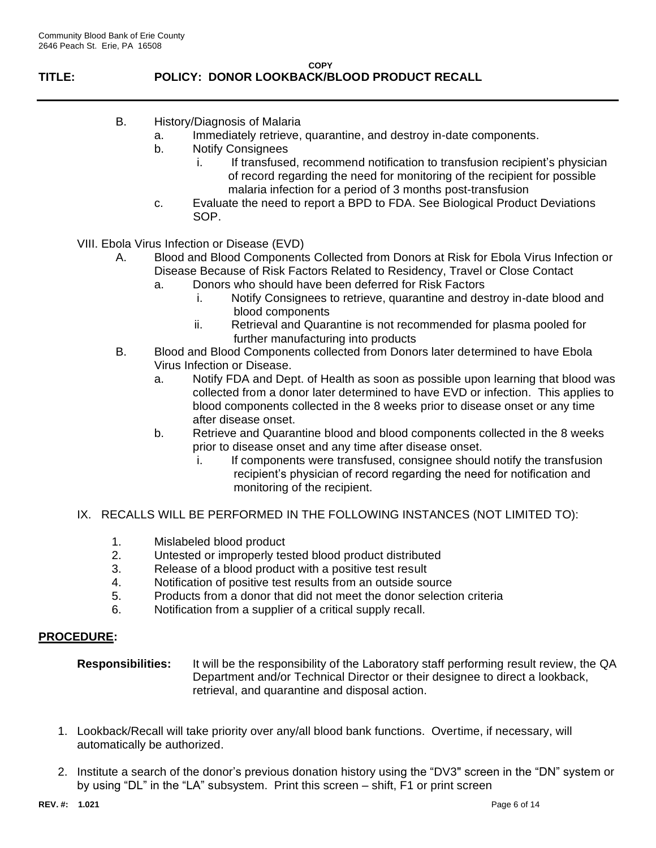# **TITLE: POLICY: DONOR LOOKBACK/BLOOD PRODUCT RECALL**

- B. History/Diagnosis of Malaria
	- a. Immediately retrieve, quarantine, and destroy in-date components.
	- b. Notify Consignees
		- i. If transfused, recommend notification to transfusion recipient's physician of record regarding the need for monitoring of the recipient for possible malaria infection for a period of 3 months post-transfusion
	- c. Evaluate the need to report a BPD to FDA. See Biological Product Deviations SOP.

VIII. Ebola Virus Infection or Disease (EVD)

- A. Blood and Blood Components Collected from Donors at Risk for Ebola Virus Infection or Disease Because of Risk Factors Related to Residency, Travel or Close Contact
	- a. Donors who should have been deferred for Risk Factors
		- i. Notify Consignees to retrieve, quarantine and destroy in-date blood and blood components
		- ii. Retrieval and Quarantine is not recommended for plasma pooled for further manufacturing into products
- B. Blood and Blood Components collected from Donors later determined to have Ebola Virus Infection or Disease.
	- a. Notify FDA and Dept. of Health as soon as possible upon learning that blood was collected from a donor later determined to have EVD or infection. This applies to blood components collected in the 8 weeks prior to disease onset or any time after disease onset.
	- b. Retrieve and Quarantine blood and blood components collected in the 8 weeks prior to disease onset and any time after disease onset.
		- i. If components were transfused, consignee should notify the transfusion recipient's physician of record regarding the need for notification and monitoring of the recipient.
- IX. RECALLS WILL BE PERFORMED IN THE FOLLOWING INSTANCES (NOT LIMITED TO):
	- 1. Mislabeled blood product
	- 2. Untested or improperly tested blood product distributed
	- 3. Release of a blood product with a positive test result
	- 4. Notification of positive test results from an outside source
	- 5. Products from a donor that did not meet the donor selection criteria
	- 6. Notification from a supplier of a critical supply recall.

## **PROCEDURE:**

- **Responsibilities:** It will be the responsibility of the Laboratory staff performing result review, the QA Department and/or Technical Director or their designee to direct a lookback, retrieval, and quarantine and disposal action.
- 1. Lookback/Recall will take priority over any/all blood bank functions. Overtime, if necessary, will automatically be authorized.
- 2. Institute a search of the donor's previous donation history using the "DV3" screen in the "DN" system or by using "DL" in the "LA" subsystem. Print this screen – shift, F1 or print screen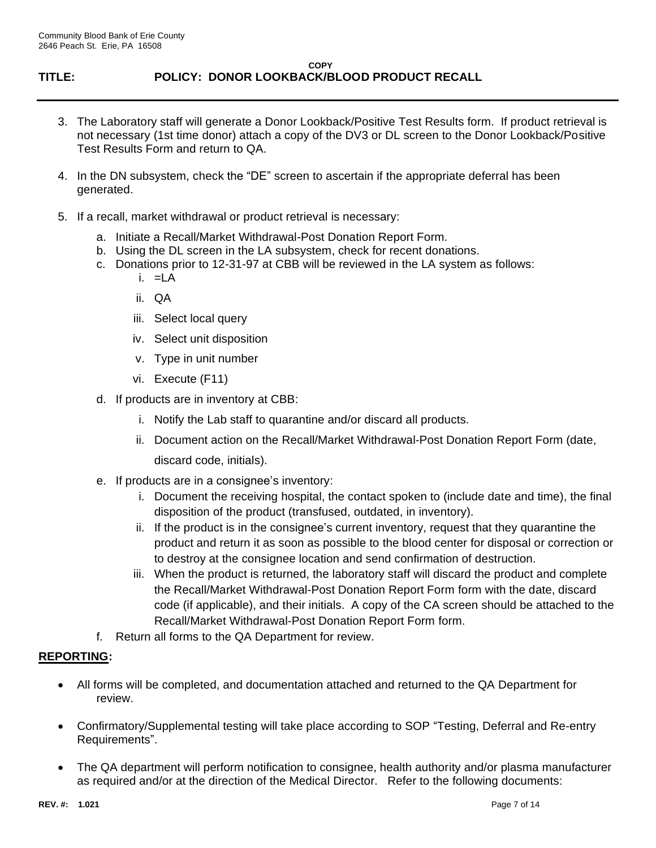- 3. The Laboratory staff will generate a Donor Lookback/Positive Test Results form. If product retrieval is not necessary (1st time donor) attach a copy of the DV3 or DL screen to the Donor Lookback/Positive Test Results Form and return to QA.
- 4. In the DN subsystem, check the "DE" screen to ascertain if the appropriate deferral has been generated.
- 5. If a recall, market withdrawal or product retrieval is necessary:
	- a. Initiate a Recall/Market Withdrawal-Post Donation Report Form.
	- b. Using the DL screen in the LA subsystem, check for recent donations.
	- c. Donations prior to 12-31-97 at CBB will be reviewed in the LA system as follows:
		- i. =LA
		- ii. QA
		- iii. Select local query
		- iv. Select unit disposition
		- v. Type in unit number
		- vi. Execute (F11)
	- d. If products are in inventory at CBB:
		- i. Notify the Lab staff to quarantine and/or discard all products.
		- ii. Document action on the Recall/Market Withdrawal-Post Donation Report Form (date, discard code, initials).
	- e. If products are in a consignee's inventory:
		- i. Document the receiving hospital, the contact spoken to (include date and time), the final disposition of the product (transfused, outdated, in inventory).
		- ii. If the product is in the consignee's current inventory, request that they quarantine the product and return it as soon as possible to the blood center for disposal or correction or to destroy at the consignee location and send confirmation of destruction.
		- iii. When the product is returned, the laboratory staff will discard the product and complete the Recall/Market Withdrawal-Post Donation Report Form form with the date, discard code (if applicable), and their initials. A copy of the CA screen should be attached to the Recall/Market Withdrawal-Post Donation Report Form form.
	- f. Return all forms to the QA Department for review.

## **REPORTING:**

- All forms will be completed, and documentation attached and returned to the QA Department for review.
- Confirmatory/Supplemental testing will take place according to SOP "Testing, Deferral and Re-entry Requirements".
- The QA department will perform notification to consignee, health authority and/or plasma manufacturer as required and/or at the direction of the Medical Director. Refer to the following documents: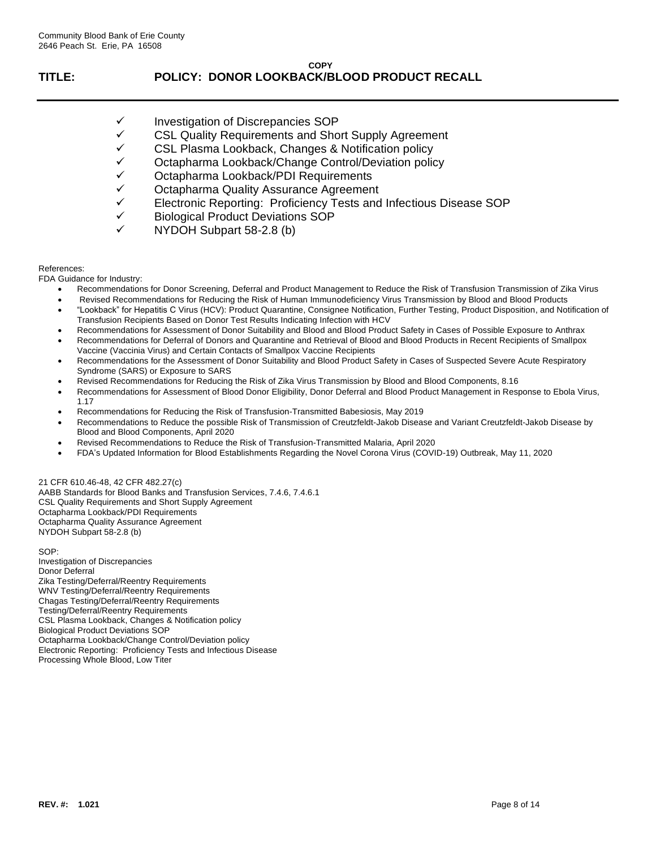- Investigation of Discrepancies SOP
- ✓ CSL Quality Requirements and Short Supply Agreement
- ✓ CSL Plasma Lookback, Changes & Notification policy
- ✓ Octapharma Lookback/Change Control/Deviation policy
- ✓ Octapharma Lookback/PDI Requirements
- 
- ✓ Octapharma Quality Assurance Agreement Electronic Reporting: Proficiency Tests and Infectious Disease SOP
- ✓ Biological Product Deviations SOP
- ✓ NYDOH Subpart 58-2.8 (b)

#### References:

FDA Guidance for Industry:

- Recommendations for Donor Screening, Deferral and Product Management to Reduce the Risk of Transfusion Transmission of Zika Virus
- Revised Recommendations for Reducing the Risk of Human Immunodeficiency Virus Transmission by Blood and Blood Products
- "Lookback" for Hepatitis C Virus (HCV): Product Quarantine, Consignee Notification, Further Testing, Product Disposition, and Notification of Transfusion Recipients Based on Donor Test Results Indicating Infection with HCV
- Recommendations for Assessment of Donor Suitability and Blood and Blood Product Safety in Cases of Possible Exposure to Anthrax
- Recommendations for Deferral of Donors and Quarantine and Retrieval of Blood and Blood Products in Recent Recipients of Smallpox Vaccine (Vaccinia Virus) and Certain Contacts of Smallpox Vaccine Recipients
- Recommendations for the Assessment of Donor Suitability and Blood Product Safety in Cases of Suspected Severe Acute Respiratory Syndrome (SARS) or Exposure to SARS
- Revised Recommendations for Reducing the Risk of Zika Virus Transmission by Blood and Blood Components, 8.16
- Recommendations for Assessment of Blood Donor Eligibility, Donor Deferral and Blood Product Management in Response to Ebola Virus, 1.17
- Recommendations for Reducing the Risk of Transfusion-Transmitted Babesiosis, May 2019
- Recommendations to Reduce the possible Risk of Transmission of Creutzfeldt-Jakob Disease and Variant Creutzfeldt-Jakob Disease by Blood and Blood Components, April 2020
- Revised Recommendations to Reduce the Risk of Transfusion-Transmitted Malaria, April 2020
- FDA's Updated Information for Blood Establishments Regarding the Novel Corona Virus (COVID-19) Outbreak, May 11, 2020

21 CFR 610.46-48, 42 CFR 482.27(c) AABB Standards for Blood Banks and Transfusion Services, 7.4.6, 7.4.6.1 CSL Quality Requirements and Short Supply Agreement Octapharma Lookback/PDI Requirements Octapharma Quality Assurance Agreement NYDOH Subpart 58-2.8 (b)

SOP: Investigation of Discrepancies Donor Deferral Zika Testing/Deferral/Reentry Requirements WNV Testing/Deferral/Reentry Requirements Chagas Testing/Deferral/Reentry Requirements Testing/Deferral/Reentry Requirements CSL Plasma Lookback, Changes & Notification policy Biological Product Deviations SOP Octapharma Lookback/Change Control/Deviation policy Electronic Reporting: Proficiency Tests and Infectious Disease Processing Whole Blood, Low Titer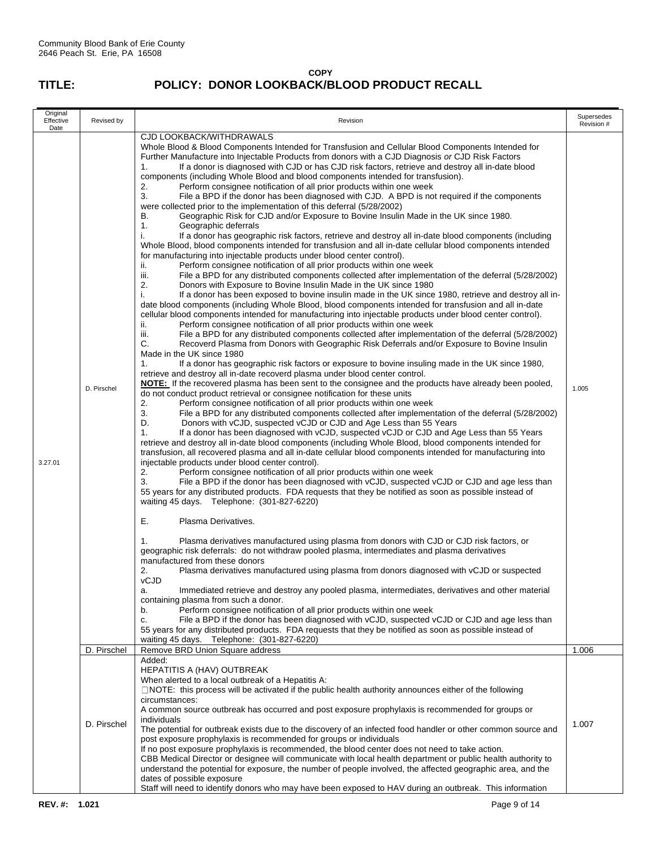| Original<br>Effective<br>Date | Revised by  | Revision                                                                                                                                                                                                                                                                                                                                                                                                                                                                                                                                                                                                                                                                                                                                                                                                                                                                                                                                                                                                                                                                                                                                                                                                                                                                                                                                                                                                                                                                                                                                                                                                                                                                                                                                                                                                                                                                                                                                                                                                                                                                                                                                                                                                                                                                                                                                                                                                                                                                                                                                                                                                                                                                                                                                                                                                                                                                                                                                                                                                                                                                                                                                                                                                                                                                                                                                                                                                                                                                                                                                                                                                                                                                                                                                                                                                                                                                                                                                                                                                                                                                                                                                                                                                                                                                                                                                                                 |       |  |  |
|-------------------------------|-------------|--------------------------------------------------------------------------------------------------------------------------------------------------------------------------------------------------------------------------------------------------------------------------------------------------------------------------------------------------------------------------------------------------------------------------------------------------------------------------------------------------------------------------------------------------------------------------------------------------------------------------------------------------------------------------------------------------------------------------------------------------------------------------------------------------------------------------------------------------------------------------------------------------------------------------------------------------------------------------------------------------------------------------------------------------------------------------------------------------------------------------------------------------------------------------------------------------------------------------------------------------------------------------------------------------------------------------------------------------------------------------------------------------------------------------------------------------------------------------------------------------------------------------------------------------------------------------------------------------------------------------------------------------------------------------------------------------------------------------------------------------------------------------------------------------------------------------------------------------------------------------------------------------------------------------------------------------------------------------------------------------------------------------------------------------------------------------------------------------------------------------------------------------------------------------------------------------------------------------------------------------------------------------------------------------------------------------------------------------------------------------------------------------------------------------------------------------------------------------------------------------------------------------------------------------------------------------------------------------------------------------------------------------------------------------------------------------------------------------------------------------------------------------------------------------------------------------------------------------------------------------------------------------------------------------------------------------------------------------------------------------------------------------------------------------------------------------------------------------------------------------------------------------------------------------------------------------------------------------------------------------------------------------------------------------------------------------------------------------------------------------------------------------------------------------------------------------------------------------------------------------------------------------------------------------------------------------------------------------------------------------------------------------------------------------------------------------------------------------------------------------------------------------------------------------------------------------------------------------------------------------------------------------------------------------------------------------------------------------------------------------------------------------------------------------------------------------------------------------------------------------------------------------------------------------------------------------------------------------------------------------------------------------------------------------------------------------------------------------------------------------|-------|--|--|
| 3.27.01                       | D. Pirschel | <b>CJD LOOKBACK/WITHDRAWALS</b><br>Whole Blood & Blood Components Intended for Transfusion and Cellular Blood Components Intended for<br>Further Manufacture into Injectable Products from donors with a CJD Diagnosis or CJD Risk Factors<br>If a donor is diagnosed with CJD or has CJD risk factors, retrieve and destroy all in-date blood<br>1.<br>components (including Whole Blood and blood components intended for transfusion).<br>2.<br>Perform consignee notification of all prior products within one week<br>3.<br>File a BPD if the donor has been diagnosed with CJD. A BPD is not required if the components<br>were collected prior to the implementation of this deferral (5/28/2002)<br>Geographic Risk for CJD and/or Exposure to Bovine Insulin Made in the UK since 1980.<br>В.<br>1.<br>Geographic deferrals<br>If a donor has geographic risk factors, retrieve and destroy all in-date blood components (including<br>i.<br>Whole Blood, blood components intended for transfusion and all in-date cellular blood components intended<br>for manufacturing into injectable products under blood center control).<br>Perform consignee notification of all prior products within one week<br>ii.<br>iii.<br>File a BPD for any distributed components collected after implementation of the deferral (5/28/2002)<br>2.<br>Donors with Exposure to Bovine Insulin Made in the UK since 1980<br>i.<br>If a donor has been exposed to bovine insulin made in the UK since 1980, retrieve and destroy all in-<br>date blood components (including Whole Blood, blood components intended for transfusion and all in-date<br>cellular blood components intended for manufacturing into injectable products under blood center control).<br>ii.<br>Perform consignee notification of all prior products within one week<br>iii.<br>File a BPD for any distributed components collected after implementation of the deferral (5/28/2002)<br>C.<br>Recoverd Plasma from Donors with Geographic Risk Deferrals and/or Exposure to Bovine Insulin<br>Made in the UK since 1980<br>1.<br>If a donor has geographic risk factors or exposure to bovine insuling made in the UK since 1980,<br>retrieve and destroy all in-date recoverd plasma under blood center control.<br>NOTE: If the recovered plasma has been sent to the consignee and the products have already been pooled,<br>do not conduct product retrieval or consignee notification for these units<br>Perform consignee notification of all prior products within one week<br>2.<br>3.<br>File a BPD for any distributed components collected after implementation of the deferral (5/28/2002)<br>D.<br>Donors with vCJD, suspected vCJD or CJD and Age Less than 55 Years<br>If a donor has been diagnosed with vCJD, suspected vCJD or CJD and Age Less than 55 Years<br>1.<br>retrieve and destroy all in-date blood components (including Whole Blood, blood components intended for<br>transfusion, all recovered plasma and all in-date cellular blood components intended for manufacturing into<br>injectable products under blood center control).<br>2.<br>Perform consignee notification of all prior products within one week<br>3.<br>File a BPD if the donor has been diagnosed with vCJD, suspected vCJD or CJD and age less than<br>55 years for any distributed products. FDA requests that they be notified as soon as possible instead of<br>waiting 45 days. Telephone: (301-827-6220)<br>Ε.<br>Plasma Derivatives.<br>Plasma derivatives manufactured using plasma from donors with CJD or CJD risk factors, or<br>1.<br>geographic risk deferrals: do not withdraw pooled plasma, intermediates and plasma derivatives<br>manufactured from these donors<br>2.<br>Plasma derivatives manufactured using plasma from donors diagnosed with vCJD or suspected<br>vCJD<br>Immediated retrieve and destroy any pooled plasma, intermediates, derivatives and other material<br>a.<br>containing plasma from such a donor.<br>Perform consignee notification of all prior products within one week<br>b.<br>File a BPD if the donor has been diagnosed with vCJD, suspected vCJD or CJD and age less than<br>c.<br>55 years for any distributed products. FDA requests that they be notified as soon as possible instead of<br>waiting 45 days. Telephone: (301-827-6220) | 1.005 |  |  |
|                               | D. Pirschel | Remove BRD Union Square address                                                                                                                                                                                                                                                                                                                                                                                                                                                                                                                                                                                                                                                                                                                                                                                                                                                                                                                                                                                                                                                                                                                                                                                                                                                                                                                                                                                                                                                                                                                                                                                                                                                                                                                                                                                                                                                                                                                                                                                                                                                                                                                                                                                                                                                                                                                                                                                                                                                                                                                                                                                                                                                                                                                                                                                                                                                                                                                                                                                                                                                                                                                                                                                                                                                                                                                                                                                                                                                                                                                                                                                                                                                                                                                                                                                                                                                                                                                                                                                                                                                                                                                                                                                                                                                                                                                                          | 1.006 |  |  |
|                               | D. Pirschel | Added:<br><b>HEPATITIS A (HAV) OUTBREAK</b><br>When alerted to a local outbreak of a Hepatitis A:<br>$\Box$ NOTE: this process will be activated if the public health authority announces either of the following<br>circumstances:<br>A common source outbreak has occurred and post exposure prophylaxis is recommended for groups or<br>individuals<br>The potential for outbreak exists due to the discovery of an infected food handler or other common source and<br>post exposure prophylaxis is recommended for groups or individuals<br>If no post exposure prophylaxis is recommended, the blood center does not need to take action.<br>CBB Medical Director or designee will communicate with local health department or public health authority to<br>understand the potential for exposure, the number of people involved, the affected geographic area, and the<br>dates of possible exposure                                                                                                                                                                                                                                                                                                                                                                                                                                                                                                                                                                                                                                                                                                                                                                                                                                                                                                                                                                                                                                                                                                                                                                                                                                                                                                                                                                                                                                                                                                                                                                                                                                                                                                                                                                                                                                                                                                                                                                                                                                                                                                                                                                                                                                                                                                                                                                                                                                                                                                                                                                                                                                                                                                                                                                                                                                                                                                                                                                                                                                                                                                                                                                                                                                                                                                                                                                                                                                                             | 1.007 |  |  |
|                               |             | Staff will need to identify donors who may have been exposed to HAV during an outbreak. This information                                                                                                                                                                                                                                                                                                                                                                                                                                                                                                                                                                                                                                                                                                                                                                                                                                                                                                                                                                                                                                                                                                                                                                                                                                                                                                                                                                                                                                                                                                                                                                                                                                                                                                                                                                                                                                                                                                                                                                                                                                                                                                                                                                                                                                                                                                                                                                                                                                                                                                                                                                                                                                                                                                                                                                                                                                                                                                                                                                                                                                                                                                                                                                                                                                                                                                                                                                                                                                                                                                                                                                                                                                                                                                                                                                                                                                                                                                                                                                                                                                                                                                                                                                                                                                                                 |       |  |  |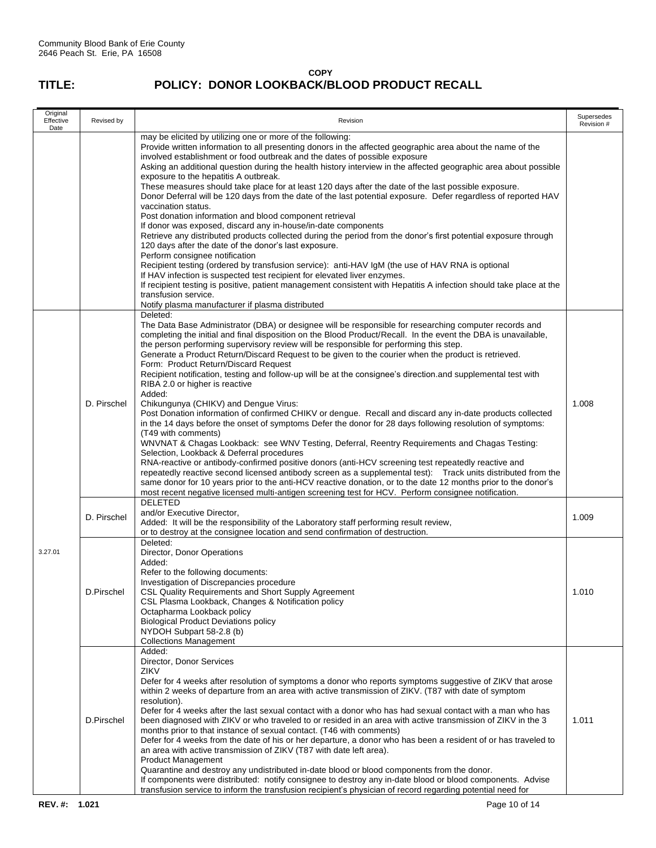| Original<br>Effective<br>Date | Revised by  | Revision                                                                                                                                                                                                                                                                                                                                                                                                                                                                                                                                                                                                                                                                                                                                                                                                                                                                                                                                                                                                                                                                                                                                                                                                                                                                                                                                                                                                                                                                                                                            |       |  |  |
|-------------------------------|-------------|-------------------------------------------------------------------------------------------------------------------------------------------------------------------------------------------------------------------------------------------------------------------------------------------------------------------------------------------------------------------------------------------------------------------------------------------------------------------------------------------------------------------------------------------------------------------------------------------------------------------------------------------------------------------------------------------------------------------------------------------------------------------------------------------------------------------------------------------------------------------------------------------------------------------------------------------------------------------------------------------------------------------------------------------------------------------------------------------------------------------------------------------------------------------------------------------------------------------------------------------------------------------------------------------------------------------------------------------------------------------------------------------------------------------------------------------------------------------------------------------------------------------------------------|-------|--|--|
|                               |             | may be elicited by utilizing one or more of the following:<br>Provide written information to all presenting donors in the affected geographic area about the name of the<br>involved establishment or food outbreak and the dates of possible exposure<br>Asking an additional question during the health history interview in the affected geographic area about possible<br>exposure to the hepatitis A outbreak.<br>These measures should take place for at least 120 days after the date of the last possible exposure.<br>Donor Deferral will be 120 days from the date of the last potential exposure. Defer regardless of reported HAV<br>vaccination status.<br>Post donation information and blood component retrieval<br>If donor was exposed, discard any in-house/in-date components<br>Retrieve any distributed products collected during the period from the donor's first potential exposure through<br>120 days after the date of the donor's last exposure.<br>Perform consignee notification<br>Recipient testing (ordered by transfusion service): anti-HAV IgM (the use of HAV RNA is optional<br>If HAV infection is suspected test recipient for elevated liver enzymes.<br>If recipient testing is positive, patient management consistent with Hepatitis A infection should take place at the<br>transfusion service.<br>Notify plasma manufacturer if plasma distributed                                                                                                                                   |       |  |  |
|                               | D. Pirschel | Deleted:<br>The Data Base Administrator (DBA) or designee will be responsible for researching computer records and<br>completing the initial and final disposition on the Blood Product/Recall. In the event the DBA is unavailable,<br>the person performing supervisory review will be responsible for performing this step.<br>Generate a Product Return/Discard Request to be given to the courier when the product is retrieved.<br>Form: Product Return/Discard Request<br>Recipient notification, testing and follow-up will be at the consignee's direction and supplemental test with<br>RIBA 2.0 or higher is reactive<br>Added:<br>Chikungunya (CHIKV) and Dengue Virus:<br>Post Donation information of confirmed CHIKV or dengue. Recall and discard any in-date products collected<br>in the 14 days before the onset of symptoms Defer the donor for 28 days following resolution of symptoms:<br>(T49 with comments)<br>WNVNAT & Chagas Lookback: see WNV Testing, Deferral, Reentry Requirements and Chagas Testing:<br>Selection, Lookback & Deferral procedures<br>RNA-reactive or antibody-confirmed positive donors (anti-HCV screening test repeatedly reactive and<br>repeatedly reactive second licensed antibody screen as a supplemental test): Track units distributed from the<br>same donor for 10 years prior to the anti-HCV reactive donation, or to the date 12 months prior to the donor's<br>most recent negative licensed multi-antigen screening test for HCV. Perform consignee notification. | 1.008 |  |  |
|                               | D. Pirschel | DELETED<br>and/or Executive Director,<br>Added: It will be the responsibility of the Laboratory staff performing result review,<br>or to destroy at the consignee location and send confirmation of destruction.                                                                                                                                                                                                                                                                                                                                                                                                                                                                                                                                                                                                                                                                                                                                                                                                                                                                                                                                                                                                                                                                                                                                                                                                                                                                                                                    | 1.009 |  |  |
| 3.27.01                       | D.Pirschel  | Deleted:<br>Director, Donor Operations<br>Added:<br>Refer to the following documents:<br>Investigation of Discrepancies procedure<br>CSL Quality Requirements and Short Supply Agreement<br>CSL Plasma Lookback, Changes & Notification policy<br>Octapharma Lookback policy<br><b>Biological Product Deviations policy</b><br>NYDOH Subpart 58-2.8 (b)<br><b>Collections Management</b>                                                                                                                                                                                                                                                                                                                                                                                                                                                                                                                                                                                                                                                                                                                                                                                                                                                                                                                                                                                                                                                                                                                                            | 1.010 |  |  |
|                               | D.Pirschel  | Added:<br>Director, Donor Services<br>ZIKV<br>Defer for 4 weeks after resolution of symptoms a donor who reports symptoms suggestive of ZIKV that arose<br>within 2 weeks of departure from an area with active transmission of ZIKV. (T87 with date of symptom<br>resolution).<br>Defer for 4 weeks after the last sexual contact with a donor who has had sexual contact with a man who has<br>been diagnosed with ZIKV or who traveled to or resided in an area with active transmission of ZIKV in the 3<br>months prior to that instance of sexual contact. (T46 with comments)<br>Defer for 4 weeks from the date of his or her departure, a donor who has been a resident of or has traveled to<br>an area with active transmission of ZIKV (T87 with date left area).<br><b>Product Management</b><br>Quarantine and destroy any undistributed in-date blood or blood components from the donor.<br>If components were distributed: notify consignee to destroy any in-date blood or blood components. Advise<br>transfusion service to inform the transfusion recipient's physician of record regarding potential need for                                                                                                                                                                                                                                                                                                                                                                                                 | 1.011 |  |  |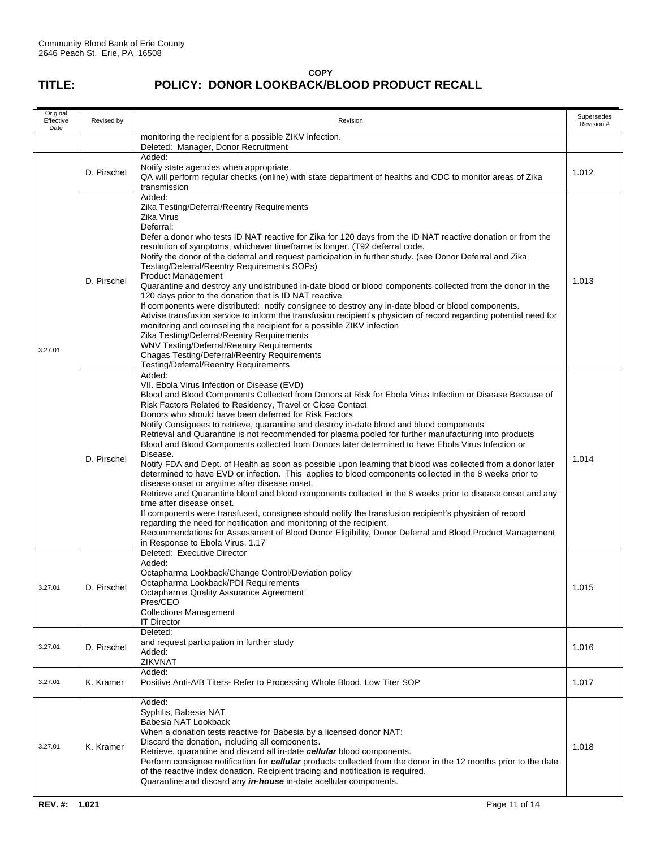| Original<br>Effective<br>Date | Revised by                                                                                                                                                                                                                                                                                                                                                                                                                                                                                                                                                   | Revision                                                                                                                                                                                                                                                                                                                                                                                                                                                                                                                                                                                                                                                                                                                                                                                                                                                                                                                                                                                                                                                                                                                                                                                                                                                                                                                                                               |       |  |  |
|-------------------------------|--------------------------------------------------------------------------------------------------------------------------------------------------------------------------------------------------------------------------------------------------------------------------------------------------------------------------------------------------------------------------------------------------------------------------------------------------------------------------------------------------------------------------------------------------------------|------------------------------------------------------------------------------------------------------------------------------------------------------------------------------------------------------------------------------------------------------------------------------------------------------------------------------------------------------------------------------------------------------------------------------------------------------------------------------------------------------------------------------------------------------------------------------------------------------------------------------------------------------------------------------------------------------------------------------------------------------------------------------------------------------------------------------------------------------------------------------------------------------------------------------------------------------------------------------------------------------------------------------------------------------------------------------------------------------------------------------------------------------------------------------------------------------------------------------------------------------------------------------------------------------------------------------------------------------------------------|-------|--|--|
|                               |                                                                                                                                                                                                                                                                                                                                                                                                                                                                                                                                                              | monitoring the recipient for a possible ZIKV infection.<br>Deleted: Manager, Donor Recruitment                                                                                                                                                                                                                                                                                                                                                                                                                                                                                                                                                                                                                                                                                                                                                                                                                                                                                                                                                                                                                                                                                                                                                                                                                                                                         |       |  |  |
|                               | D. Pirschel                                                                                                                                                                                                                                                                                                                                                                                                                                                                                                                                                  | Added:<br>Notify state agencies when appropriate.<br>QA will perform regular checks (online) with state department of healths and CDC to monitor areas of Zika<br>transmission                                                                                                                                                                                                                                                                                                                                                                                                                                                                                                                                                                                                                                                                                                                                                                                                                                                                                                                                                                                                                                                                                                                                                                                         | 1.012 |  |  |
| 3.27.01                       | D. Pirschel                                                                                                                                                                                                                                                                                                                                                                                                                                                                                                                                                  | Added:<br>Zika Testing/Deferral/Reentry Requirements<br>Zika Virus<br>Deferral:<br>Defer a donor who tests ID NAT reactive for Zika for 120 days from the ID NAT reactive donation or from the<br>resolution of symptoms, whichever timeframe is longer. (T92 deferral code.<br>Notify the donor of the deferral and request participation in further study. (see Donor Deferral and Zika<br>Testing/Deferral/Reentry Requirements SOPs)<br><b>Product Management</b><br>Quarantine and destroy any undistributed in-date blood or blood components collected from the donor in the<br>120 days prior to the donation that is ID NAT reactive.<br>If components were distributed: notify consignee to destroy any in-date blood or blood components.<br>Advise transfusion service to inform the transfusion recipient's physician of record regarding potential need for<br>monitoring and counseling the recipient for a possible ZIKV infection<br>Zika Testing/Deferral/Reentry Requirements<br><b>WNV Testing/Deferral/Reentry Requirements</b><br>Chagas Testing/Deferral/Reentry Requirements<br>Testing/Deferral/Reentry Requirements                                                                                                                                                                                                                          | 1.013 |  |  |
|                               | D. Pirschel                                                                                                                                                                                                                                                                                                                                                                                                                                                                                                                                                  | Added:<br>VII. Ebola Virus Infection or Disease (EVD)<br>Blood and Blood Components Collected from Donors at Risk for Ebola Virus Infection or Disease Because of<br>Risk Factors Related to Residency, Travel or Close Contact<br>Donors who should have been deferred for Risk Factors<br>Notify Consignees to retrieve, quarantine and destroy in-date blood and blood components<br>Retrieval and Quarantine is not recommended for plasma pooled for further manufacturing into products<br>Blood and Blood Components collected from Donors later determined to have Ebola Virus Infection or<br>Disease.<br>Notify FDA and Dept. of Health as soon as possible upon learning that blood was collected from a donor later<br>determined to have EVD or infection. This applies to blood components collected in the 8 weeks prior to<br>disease onset or anytime after disease onset.<br>Retrieve and Quarantine blood and blood components collected in the 8 weeks prior to disease onset and any<br>time after disease onset.<br>If components were transfused, consignee should notify the transfusion recipient's physician of record<br>regarding the need for notification and monitoring of the recipient.<br>Recommendations for Assessment of Blood Donor Eligibility, Donor Deferral and Blood Product Management<br>in Response to Ebola Virus, 1.17 | 1.014 |  |  |
| 3.27.01                       | D. Pirschel                                                                                                                                                                                                                                                                                                                                                                                                                                                                                                                                                  | Deleted: Executive Director<br>Added:<br>Octapharma Lookback/Change Control/Deviation policy<br>Octapharma Lookback/PDI Requirements<br>Octapharma Quality Assurance Agreement<br>Pres/CEO<br><b>Collections Management</b><br><b>IT Director</b>                                                                                                                                                                                                                                                                                                                                                                                                                                                                                                                                                                                                                                                                                                                                                                                                                                                                                                                                                                                                                                                                                                                      |       |  |  |
| 3.27.01                       | D. Pirschel                                                                                                                                                                                                                                                                                                                                                                                                                                                                                                                                                  | Deleted:<br>and request participation in further study<br>Added:<br>ZIKVNAT                                                                                                                                                                                                                                                                                                                                                                                                                                                                                                                                                                                                                                                                                                                                                                                                                                                                                                                                                                                                                                                                                                                                                                                                                                                                                            |       |  |  |
| 3.27.01                       | Added:<br>K. Kramer<br>Positive Anti-A/B Titers- Refer to Processing Whole Blood, Low Titer SOP                                                                                                                                                                                                                                                                                                                                                                                                                                                              |                                                                                                                                                                                                                                                                                                                                                                                                                                                                                                                                                                                                                                                                                                                                                                                                                                                                                                                                                                                                                                                                                                                                                                                                                                                                                                                                                                        | 1.017 |  |  |
| 3.27.01                       | Added:<br>Syphilis, Babesia NAT<br>Babesia NAT Lookback<br>When a donation tests reactive for Babesia by a licensed donor NAT:<br>Discard the donation, including all components.<br>K. Kramer<br>Retrieve, quarantine and discard all in-date cellular blood components.<br>Perform consignee notification for cellular products collected from the donor in the 12 months prior to the date<br>of the reactive index donation. Recipient tracing and notification is required.<br>Quarantine and discard any <i>in-house</i> in-date acellular components. |                                                                                                                                                                                                                                                                                                                                                                                                                                                                                                                                                                                                                                                                                                                                                                                                                                                                                                                                                                                                                                                                                                                                                                                                                                                                                                                                                                        |       |  |  |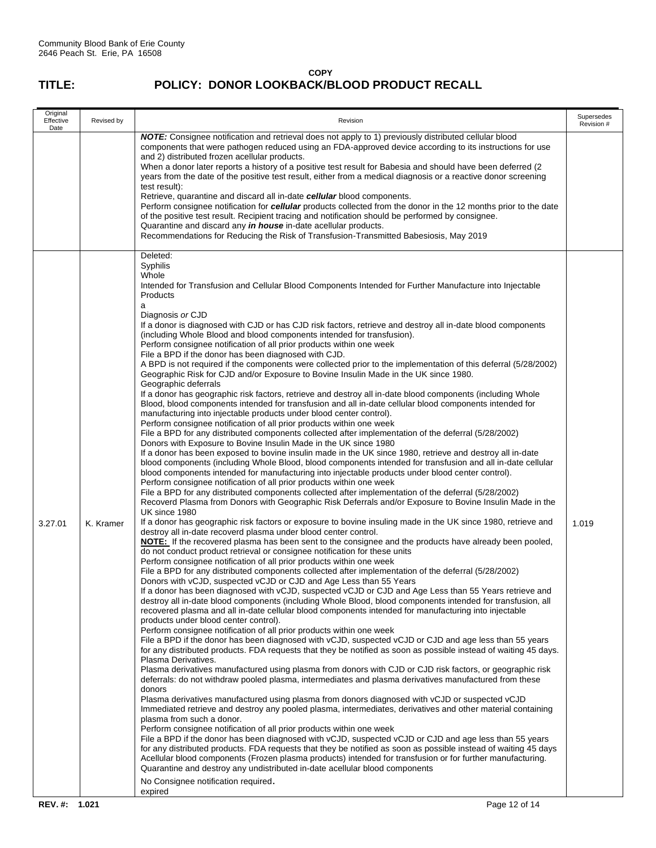| Original<br>Effective<br>Date | Revised by | Revision                                                                                                                                                                                                                                                                                                                                                                                                                                                                                                                                                                                                                                                                                                                                                                                                                                                                                                                                                                                                                                                                                                                                                                                                                                                                                                                                                                                                                                                                                                                                                                                                                                                                                                                                                                                                                                                                                                                                                                                                                                                                                                                                                                                                                                                                                                                                                                                                                                                                                                                                                                                                                                                                                                                                                                                                                                                                                                                                                                                                                                                                                                                                                                                                                                                                                                                                                                                                                                                                                                                                                                                                                                                                                                                                                                                                                                                                                                                                                                                                                                                                                                                                                                                                                                                                                                                  |       |  |  |
|-------------------------------|------------|---------------------------------------------------------------------------------------------------------------------------------------------------------------------------------------------------------------------------------------------------------------------------------------------------------------------------------------------------------------------------------------------------------------------------------------------------------------------------------------------------------------------------------------------------------------------------------------------------------------------------------------------------------------------------------------------------------------------------------------------------------------------------------------------------------------------------------------------------------------------------------------------------------------------------------------------------------------------------------------------------------------------------------------------------------------------------------------------------------------------------------------------------------------------------------------------------------------------------------------------------------------------------------------------------------------------------------------------------------------------------------------------------------------------------------------------------------------------------------------------------------------------------------------------------------------------------------------------------------------------------------------------------------------------------------------------------------------------------------------------------------------------------------------------------------------------------------------------------------------------------------------------------------------------------------------------------------------------------------------------------------------------------------------------------------------------------------------------------------------------------------------------------------------------------------------------------------------------------------------------------------------------------------------------------------------------------------------------------------------------------------------------------------------------------------------------------------------------------------------------------------------------------------------------------------------------------------------------------------------------------------------------------------------------------------------------------------------------------------------------------------------------------------------------------------------------------------------------------------------------------------------------------------------------------------------------------------------------------------------------------------------------------------------------------------------------------------------------------------------------------------------------------------------------------------------------------------------------------------------------------------------------------------------------------------------------------------------------------------------------------------------------------------------------------------------------------------------------------------------------------------------------------------------------------------------------------------------------------------------------------------------------------------------------------------------------------------------------------------------------------------------------------------------------------------------------------------------------------------------------------------------------------------------------------------------------------------------------------------------------------------------------------------------------------------------------------------------------------------------------------------------------------------------------------------------------------------------------------------------------------------------------------------------------------------------------------|-------|--|--|
|                               |            | NOTE: Consignee notification and retrieval does not apply to 1) previously distributed cellular blood<br>components that were pathogen reduced using an FDA-approved device according to its instructions for use<br>and 2) distributed frozen acellular products.<br>When a donor later reports a history of a positive test result for Babesia and should have been deferred (2)<br>years from the date of the positive test result, either from a medical diagnosis or a reactive donor screening<br>test result):<br>Retrieve, quarantine and discard all in-date cellular blood components.<br>Perform consignee notification for cellular products collected from the donor in the 12 months prior to the date<br>of the positive test result. Recipient tracing and notification should be performed by consignee.<br>Quarantine and discard any in house in-date acellular products.<br>Recommendations for Reducing the Risk of Transfusion-Transmitted Babesiosis, May 2019                                                                                                                                                                                                                                                                                                                                                                                                                                                                                                                                                                                                                                                                                                                                                                                                                                                                                                                                                                                                                                                                                                                                                                                                                                                                                                                                                                                                                                                                                                                                                                                                                                                                                                                                                                                                                                                                                                                                                                                                                                                                                                                                                                                                                                                                                                                                                                                                                                                                                                                                                                                                                                                                                                                                                                                                                                                                                                                                                                                                                                                                                                                                                                                                                                                                                                                                     |       |  |  |
| 3.27.01                       | K. Kramer  | Deleted:<br>Syphilis<br>Whole<br>Intended for Transfusion and Cellular Blood Components Intended for Further Manufacture into Injectable<br>Products<br>a<br>Diagnosis or CJD<br>If a donor is diagnosed with CJD or has CJD risk factors, retrieve and destroy all in-date blood components<br>(including Whole Blood and blood components intended for transfusion).<br>Perform consignee notification of all prior products within one week<br>File a BPD if the donor has been diagnosed with CJD.<br>A BPD is not required if the components were collected prior to the implementation of this deferral (5/28/2002)<br>Geographic Risk for CJD and/or Exposure to Bovine Insulin Made in the UK since 1980.<br>Geographic deferrals<br>If a donor has geographic risk factors, retrieve and destroy all in-date blood components (including Whole<br>Blood, blood components intended for transfusion and all in-date cellular blood components intended for<br>manufacturing into injectable products under blood center control).<br>Perform consignee notification of all prior products within one week<br>File a BPD for any distributed components collected after implementation of the deferral (5/28/2002)<br>Donors with Exposure to Bovine Insulin Made in the UK since 1980<br>If a donor has been exposed to bovine insulin made in the UK since 1980, retrieve and destroy all in-date<br>blood components (including Whole Blood, blood components intended for transfusion and all in-date cellular<br>blood components intended for manufacturing into injectable products under blood center control).<br>Perform consignee notification of all prior products within one week<br>File a BPD for any distributed components collected after implementation of the deferral (5/28/2002)<br>Recoverd Plasma from Donors with Geographic Risk Deferrals and/or Exposure to Bovine Insulin Made in the<br>UK since 1980<br>If a donor has geographic risk factors or exposure to bovine insuling made in the UK since 1980, retrieve and<br>destroy all in-date recoverd plasma under blood center control.<br>NOTE: If the recovered plasma has been sent to the consignee and the products have already been pooled,<br>do not conduct product retrieval or consignee notification for these units<br>Perform consignee notification of all prior products within one week<br>File a BPD for any distributed components collected after implementation of the deferral (5/28/2002)<br>Donors with vCJD, suspected vCJD or CJD and Age Less than 55 Years<br>If a donor has been diagnosed with vCJD, suspected vCJD or CJD and Age Less than 55 Years retrieve and<br>destroy all in-date blood components (including Whole Blood, blood components intended for transfusion, all<br>recovered plasma and all in-date cellular blood components intended for manufacturing into injectable<br>products under blood center control).<br>Perform consignee notification of all prior products within one week<br>File a BPD if the donor has been diagnosed with vCJD, suspected vCJD or CJD and age less than 55 years<br>for any distributed products. FDA requests that they be notified as soon as possible instead of waiting 45 days.<br>Plasma Derivatives.<br>Plasma derivatives manufactured using plasma from donors with CJD or CJD risk factors, or geographic risk<br>deferrals: do not withdraw pooled plasma, intermediates and plasma derivatives manufactured from these<br>donors<br>Plasma derivatives manufactured using plasma from donors diagnosed with vCJD or suspected vCJD<br>Immediated retrieve and destroy any pooled plasma, intermediates, derivatives and other material containing<br>plasma from such a donor.<br>Perform consignee notification of all prior products within one week<br>File a BPD if the donor has been diagnosed with vCJD, suspected vCJD or CJD and age less than 55 years<br>for any distributed products. FDA requests that they be notified as soon as possible instead of waiting 45 days<br>Acellular blood components (Frozen plasma products) intended for transfusion or for further manufacturing.<br>Quarantine and destroy any undistributed in-date acellular blood components<br>No Consignee notification required.<br>expired | 1.019 |  |  |
| REV. #: 1.021                 |            | Page 12 of 14                                                                                                                                                                                                                                                                                                                                                                                                                                                                                                                                                                                                                                                                                                                                                                                                                                                                                                                                                                                                                                                                                                                                                                                                                                                                                                                                                                                                                                                                                                                                                                                                                                                                                                                                                                                                                                                                                                                                                                                                                                                                                                                                                                                                                                                                                                                                                                                                                                                                                                                                                                                                                                                                                                                                                                                                                                                                                                                                                                                                                                                                                                                                                                                                                                                                                                                                                                                                                                                                                                                                                                                                                                                                                                                                                                                                                                                                                                                                                                                                                                                                                                                                                                                                                                                                                                             |       |  |  |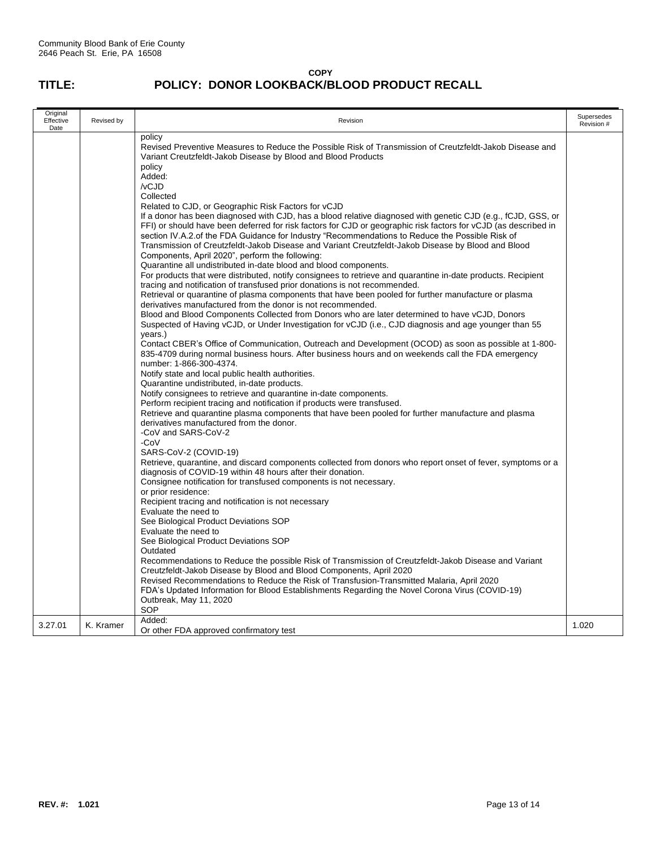| Original<br>Effective<br>Date | Revised by | Revision                                                                                                                                                                                                                                                                                                                                                                                                                                                                                                                                                                                                                                                                                                                                                                                                                                                                                                                                                                                                                                                                                                                                                                                                                                                                                                                                                                                                                                                                                                                                                                                                                                                                                                                                                                                                                                                                                                                                                                                                                                                                                                                                                                                                                                                                                                                                                                                                                                                                                                                                                                                                                                                                                                                                                                                                                                                                                                                                                                                                                                           |                          |  |  |
|-------------------------------|------------|----------------------------------------------------------------------------------------------------------------------------------------------------------------------------------------------------------------------------------------------------------------------------------------------------------------------------------------------------------------------------------------------------------------------------------------------------------------------------------------------------------------------------------------------------------------------------------------------------------------------------------------------------------------------------------------------------------------------------------------------------------------------------------------------------------------------------------------------------------------------------------------------------------------------------------------------------------------------------------------------------------------------------------------------------------------------------------------------------------------------------------------------------------------------------------------------------------------------------------------------------------------------------------------------------------------------------------------------------------------------------------------------------------------------------------------------------------------------------------------------------------------------------------------------------------------------------------------------------------------------------------------------------------------------------------------------------------------------------------------------------------------------------------------------------------------------------------------------------------------------------------------------------------------------------------------------------------------------------------------------------------------------------------------------------------------------------------------------------------------------------------------------------------------------------------------------------------------------------------------------------------------------------------------------------------------------------------------------------------------------------------------------------------------------------------------------------------------------------------------------------------------------------------------------------------------------------------------------------------------------------------------------------------------------------------------------------------------------------------------------------------------------------------------------------------------------------------------------------------------------------------------------------------------------------------------------------------------------------------------------------------------------------------------------------|--------------------------|--|--|
|                               |            | policy<br>Revised Preventive Measures to Reduce the Possible Risk of Transmission of Creutzfeldt-Jakob Disease and<br>Variant Creutzfeldt-Jakob Disease by Blood and Blood Products<br>policy<br>Added:<br>/vCJD<br>Collected<br>Related to CJD, or Geographic Risk Factors for vCJD<br>If a donor has been diagnosed with CJD, has a blood relative diagnosed with genetic CJD (e.g., fCJD, GSS, or<br>FFI) or should have been deferred for risk factors for CJD or geographic risk factors for vCJD (as described in<br>section IV.A.2.of the FDA Guidance for Industry "Recommendations to Reduce the Possible Risk of<br>Transmission of Creutzfeldt-Jakob Disease and Variant Creutzfeldt-Jakob Disease by Blood and Blood<br>Components, April 2020", perform the following:<br>Quarantine all undistributed in-date blood and blood components.<br>For products that were distributed, notify consignees to retrieve and quarantine in-date products. Recipient<br>tracing and notification of transfused prior donations is not recommended.<br>Retrieval or quarantine of plasma components that have been pooled for further manufacture or plasma<br>derivatives manufactured from the donor is not recommended.<br>Blood and Blood Components Collected from Donors who are later determined to have vCJD, Donors<br>Suspected of Having vCJD, or Under Investigation for vCJD (i.e., CJD diagnosis and age younger than 55<br>years.)<br>Contact CBER's Office of Communication, Outreach and Development (OCOD) as soon as possible at 1-800-<br>835-4709 during normal business hours. After business hours and on weekends call the FDA emergency<br>number: 1-866-300-4374.<br>Notify state and local public health authorities.<br>Quarantine undistributed, in-date products.<br>Notify consignees to retrieve and quarantine in-date components.<br>Perform recipient tracing and notification if products were transfused.<br>Retrieve and quarantine plasma components that have been pooled for further manufacture and plasma<br>derivatives manufactured from the donor.<br>-CoV and SARS-CoV-2<br>-CoV<br>SARS-CoV-2 (COVID-19)<br>Retrieve, quarantine, and discard components collected from donors who report onset of fever, symptoms or a<br>diagnosis of COVID-19 within 48 hours after their donation.<br>Consignee notification for transfused components is not necessary.<br>or prior residence:<br>Recipient tracing and notification is not necessary<br>Evaluate the need to<br>See Biological Product Deviations SOP<br>Evaluate the need to<br>See Biological Product Deviations SOP<br>Outdated<br>Recommendations to Reduce the possible Risk of Transmission of Creutzfeldt-Jakob Disease and Variant<br>Creutzfeldt-Jakob Disease by Blood and Blood Components, April 2020<br>Revised Recommendations to Reduce the Risk of Transfusion-Transmitted Malaria, April 2020<br>FDA's Updated Information for Blood Establishments Regarding the Novel Corona Virus (COVID-19)<br>Outbreak, May 11, 2020 | Supersedes<br>Revision # |  |  |
| 3.27.01                       | K. Kramer  | SOP<br>Added:                                                                                                                                                                                                                                                                                                                                                                                                                                                                                                                                                                                                                                                                                                                                                                                                                                                                                                                                                                                                                                                                                                                                                                                                                                                                                                                                                                                                                                                                                                                                                                                                                                                                                                                                                                                                                                                                                                                                                                                                                                                                                                                                                                                                                                                                                                                                                                                                                                                                                                                                                                                                                                                                                                                                                                                                                                                                                                                                                                                                                                      | 1.020                    |  |  |
|                               |            | Or other FDA approved confirmatory test                                                                                                                                                                                                                                                                                                                                                                                                                                                                                                                                                                                                                                                                                                                                                                                                                                                                                                                                                                                                                                                                                                                                                                                                                                                                                                                                                                                                                                                                                                                                                                                                                                                                                                                                                                                                                                                                                                                                                                                                                                                                                                                                                                                                                                                                                                                                                                                                                                                                                                                                                                                                                                                                                                                                                                                                                                                                                                                                                                                                            |                          |  |  |